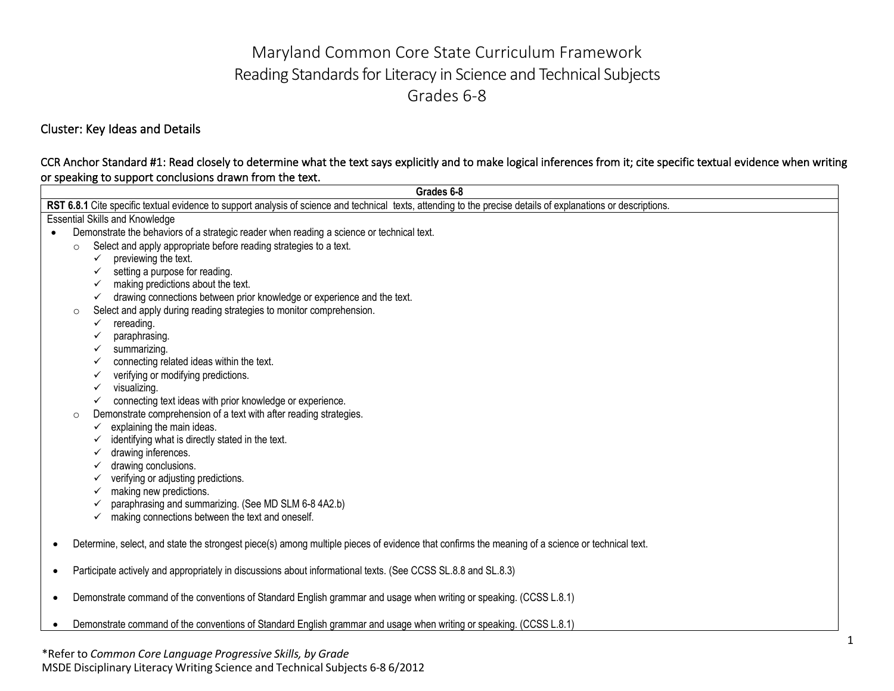# Maryland Common Core State Curriculum Framework Reading Standards for Literacy in Science and Technical Subjects Grades 6-8

Cluster: Key Ideas and Details

#### CCR Anchor Standard #1: Read closely to determine what the text says explicitly and to make logical inferences from it; cite specific textual evidence when writing or speaking to support conclusions drawn from the text.

|           |         | Grades 6-8                                                                                                                                                     |
|-----------|---------|----------------------------------------------------------------------------------------------------------------------------------------------------------------|
|           |         | RST 6.8.1 Cite specific textual evidence to support analysis of science and technical texts, attending to the precise details of explanations or descriptions. |
|           |         | <b>Essential Skills and Knowledge</b>                                                                                                                          |
|           |         | Demonstrate the behaviors of a strategic reader when reading a science or technical text.                                                                      |
|           | $\circ$ | Select and apply appropriate before reading strategies to a text.                                                                                              |
|           |         | previewing the text.<br>$\checkmark$                                                                                                                           |
|           |         | setting a purpose for reading.<br>✓                                                                                                                            |
|           |         | making predictions about the text.<br>$\checkmark$                                                                                                             |
|           |         | drawing connections between prior knowledge or experience and the text.<br>$\checkmark$                                                                        |
|           | $\circ$ | Select and apply during reading strategies to monitor comprehension.                                                                                           |
|           |         | rereading.<br>$\checkmark$                                                                                                                                     |
|           |         | paraphrasing.                                                                                                                                                  |
|           |         | summarizing.                                                                                                                                                   |
|           |         | connecting related ideas within the text.<br>✓                                                                                                                 |
|           |         | verifying or modifying predictions.<br>✓                                                                                                                       |
|           |         | visualizing.<br>✓                                                                                                                                              |
|           |         | connecting text ideas with prior knowledge or experience.<br>✓                                                                                                 |
|           | $\circ$ | Demonstrate comprehension of a text with after reading strategies.                                                                                             |
|           |         | explaining the main ideas.<br>✓                                                                                                                                |
|           |         | identifying what is directly stated in the text.                                                                                                               |
|           |         | drawing inferences.<br>✓                                                                                                                                       |
|           |         | drawing conclusions.<br>✓                                                                                                                                      |
|           |         | verifying or adjusting predictions.                                                                                                                            |
|           |         | making new predictions.                                                                                                                                        |
|           |         | paraphrasing and summarizing. (See MD SLM 6-8 4A2.b)                                                                                                           |
|           |         | making connections between the text and oneself.                                                                                                               |
|           |         | Determine, select, and state the strongest piece(s) among multiple pieces of evidence that confirms the meaning of a science or technical text.                |
| $\bullet$ |         | Participate actively and appropriately in discussions about informational texts. (See CCSS SL.8.8 and SL.8.3)                                                  |
| ٠         |         | Demonstrate command of the conventions of Standard English grammar and usage when writing or speaking. (CCSS L.8.1)                                            |
|           |         | Demonstrate command of the conventions of Standard English grammar and usage when writing or speaking. (CCSS L.8.1)                                            |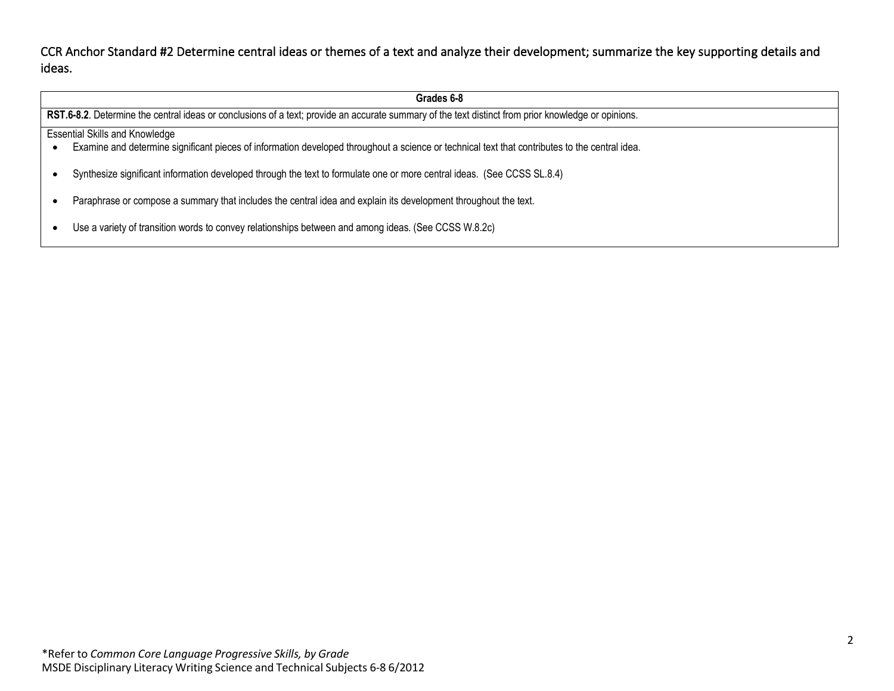CCR Anchor Standard #2 Determine central ideas or themes of a text and analyze their development; summarize the key supporting details and ideas.

| Grades 6-8                                                                                                                                          |                                                                                                                                                |  |
|-----------------------------------------------------------------------------------------------------------------------------------------------------|------------------------------------------------------------------------------------------------------------------------------------------------|--|
| RST.6-8.2. Determine the central ideas or conclusions of a text; provide an accurate summary of the text distinct from prior knowledge or opinions. |                                                                                                                                                |  |
| <b>Essential Skills and Knowledge</b>                                                                                                               |                                                                                                                                                |  |
|                                                                                                                                                     | Examine and determine significant pieces of information developed throughout a science or technical text that contributes to the central idea. |  |
|                                                                                                                                                     | Synthesize significant information developed through the text to formulate one or more central ideas. (See CCSS SL.8.4)                        |  |
|                                                                                                                                                     | Paraphrase or compose a summary that includes the central idea and explain its development throughout the text.                                |  |
|                                                                                                                                                     | Use a variety of transition words to convey relationships between and among ideas. (See CCSS W.8.2c)                                           |  |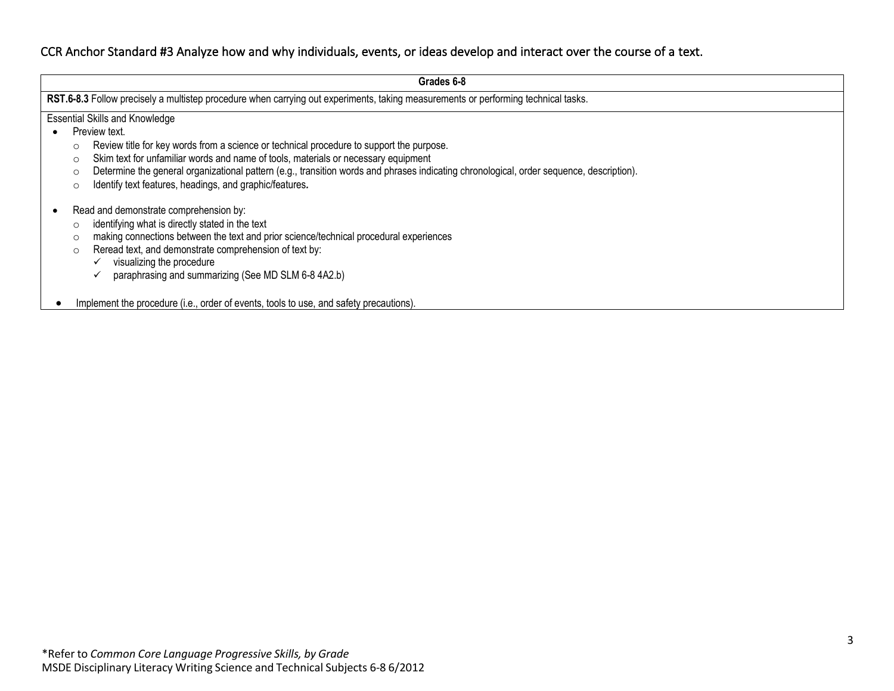#### CCR Anchor Standard #3 Analyze how and why individuals, events, or ideas develop and interact over the course of a text.

| Grades 6-8                                                                                                                                                                                                                                                                                                                                                   |  |  |  |
|--------------------------------------------------------------------------------------------------------------------------------------------------------------------------------------------------------------------------------------------------------------------------------------------------------------------------------------------------------------|--|--|--|
| RST.6-8.3 Follow precisely a multistep procedure when carrying out experiments, taking measurements or performing technical tasks.                                                                                                                                                                                                                           |  |  |  |
| <b>Essential Skills and Knowledge</b>                                                                                                                                                                                                                                                                                                                        |  |  |  |
| Preview text.                                                                                                                                                                                                                                                                                                                                                |  |  |  |
| Review title for key words from a science or technical procedure to support the purpose.<br>$\circ$                                                                                                                                                                                                                                                          |  |  |  |
| Skim text for unfamiliar words and name of tools, materials or necessary equipment<br>$\circ$                                                                                                                                                                                                                                                                |  |  |  |
| Determine the general organizational pattern (e.g., transition words and phrases indicating chronological, order sequence, description).<br>$\circ$                                                                                                                                                                                                          |  |  |  |
| Identify text features, headings, and graphic/features.<br>O                                                                                                                                                                                                                                                                                                 |  |  |  |
| Read and demonstrate comprehension by:<br>identifying what is directly stated in the text<br>$\circ$<br>making connections between the text and prior science/technical procedural experiences<br>O<br>Reread text, and demonstrate comprehension of text by:<br>$\circ$<br>visualizing the procedure<br>paraphrasing and summarizing (See MD SLM 6-8 4A2.b) |  |  |  |
| Implement the procedure (i.e., order of events, tools to use, and safety precautions).                                                                                                                                                                                                                                                                       |  |  |  |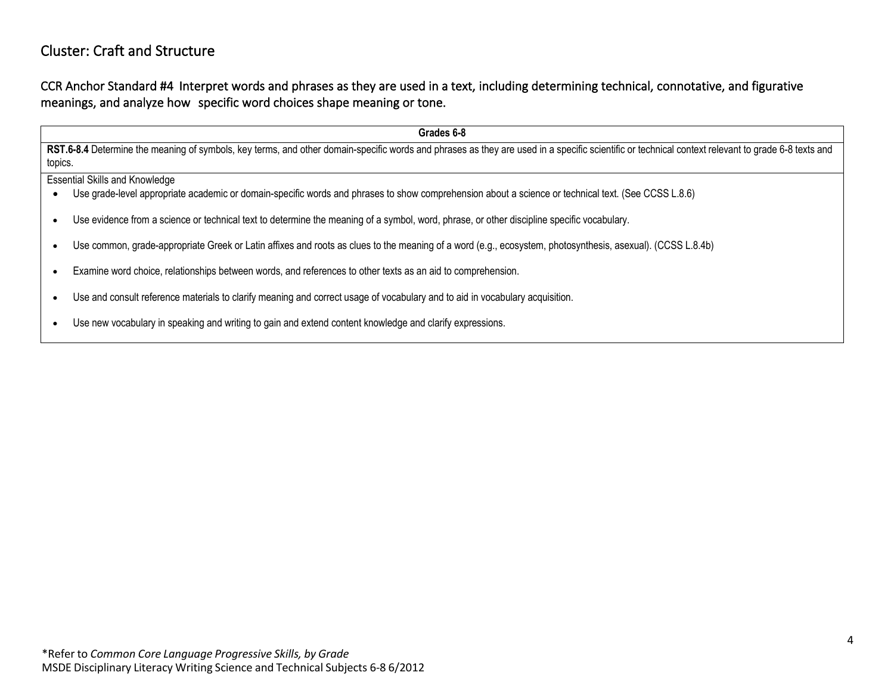## Cluster: Craft and Structure

CCR Anchor Standard #4 Interpret words and phrases as they are used in a text, including determining technical, connotative, and figurative meanings, and analyze how specific word choices shape meaning or tone.

**Grades 6-8** RST.6-8.4 Determine the meaning of symbols, key terms, and other domain-specific words and phrases as they are used in a specific scientific or technical context relevant to grade 6-8 texts and topics. Essential Skills and Knowledge • Use grade-level appropriate academic or domain-specific words and phrases to show comprehension about a science or technical text. (See CCSS L.8.6) • Use evidence from a science or technical text to determine the meaning of a symbol, word, phrase, or other discipline specific vocabulary. • Use common, grade-appropriate Greek or Latin affixes and roots as clues to the meaning of a word (e.g., ecosystem, photosynthesis, asexual). (CCSS L.8.4b) • Examine word choice, relationships between words, and references to other texts as an aid to comprehension. • Use and consult reference materials to clarify meaning and correct usage of vocabulary and to aid in vocabulary acquisition. • Use new vocabulary in speaking and writing to gain and extend content knowledge and clarify expressions.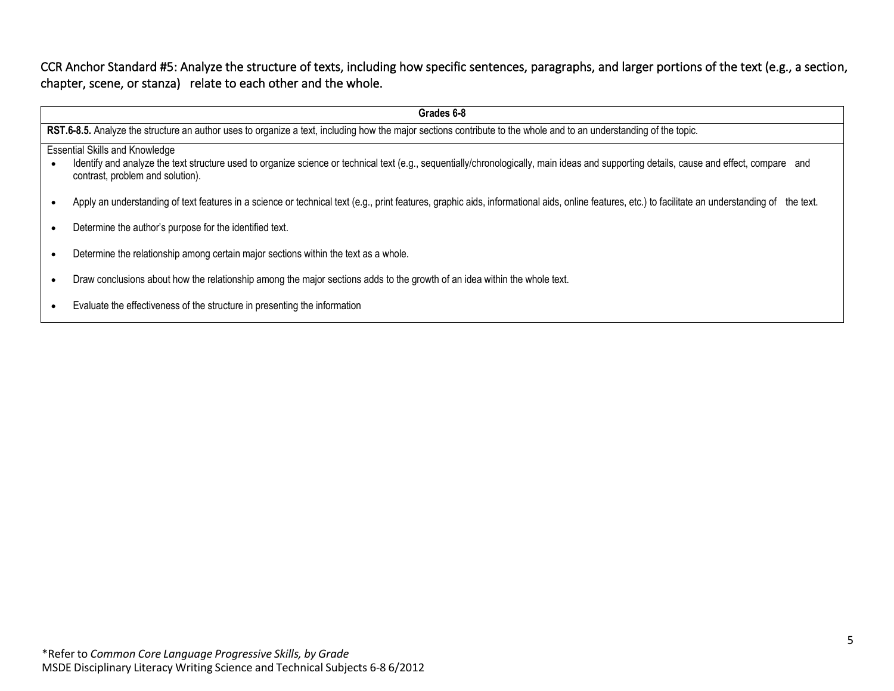CCR Anchor Standard #5: Analyze the structure of texts, including how specific sentences, paragraphs, and larger portions of the text (e.g., a section, chapter, scene, or stanza) relate to each other and the whole.

|                                                                                                                                                                    | Grades 6-8                                                                                                                                                                                                                                                            |  |
|--------------------------------------------------------------------------------------------------------------------------------------------------------------------|-----------------------------------------------------------------------------------------------------------------------------------------------------------------------------------------------------------------------------------------------------------------------|--|
| RST.6-8.5. Analyze the structure an author uses to organize a text, including how the major sections contribute to the whole and to an understanding of the topic. |                                                                                                                                                                                                                                                                       |  |
|                                                                                                                                                                    | <b>Essential Skills and Knowledge</b><br>Identify and analyze the text structure used to organize science or technical text (e.g., sequentially/chronologically, main ideas and supporting details, cause and effect, compare and<br>contrast, problem and solution). |  |
|                                                                                                                                                                    | Apply an understanding of text features in a science or technical text (e.g., print features, graphic aids, informational aids, online features, etc.) to facilitate an understanding of the text.                                                                    |  |
|                                                                                                                                                                    | Determine the author's purpose for the identified text.                                                                                                                                                                                                               |  |
|                                                                                                                                                                    | Determine the relationship among certain major sections within the text as a whole.                                                                                                                                                                                   |  |
|                                                                                                                                                                    | Draw conclusions about how the relationship among the major sections adds to the growth of an idea within the whole text.                                                                                                                                             |  |
|                                                                                                                                                                    | Evaluate the effectiveness of the structure in presenting the information                                                                                                                                                                                             |  |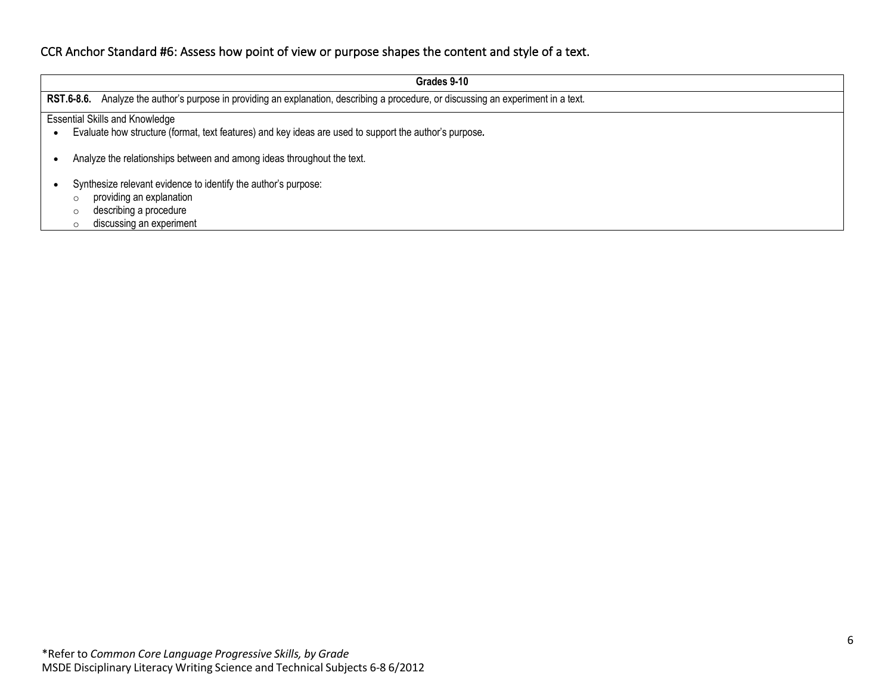### CCR Anchor Standard #6: Assess how point of view or purpose shapes the content and style of a text.

| Grades 9-10                                                                                                                            |  |  |  |
|----------------------------------------------------------------------------------------------------------------------------------------|--|--|--|
| Analyze the author's purpose in providing an explanation, describing a procedure, or discussing an experiment in a text.<br>RST.6-8.6. |  |  |  |
|                                                                                                                                        |  |  |  |
| <b>Essential Skills and Knowledge</b>                                                                                                  |  |  |  |
| Evaluate how structure (format, text features) and key ideas are used to support the author's purpose.                                 |  |  |  |
|                                                                                                                                        |  |  |  |
| Analyze the relationships between and among ideas throughout the text.                                                                 |  |  |  |
|                                                                                                                                        |  |  |  |
| Synthesize relevant evidence to identify the author's purpose:                                                                         |  |  |  |
| providing an explanation                                                                                                               |  |  |  |
| describing a procedure                                                                                                                 |  |  |  |
| discussing an experiment                                                                                                               |  |  |  |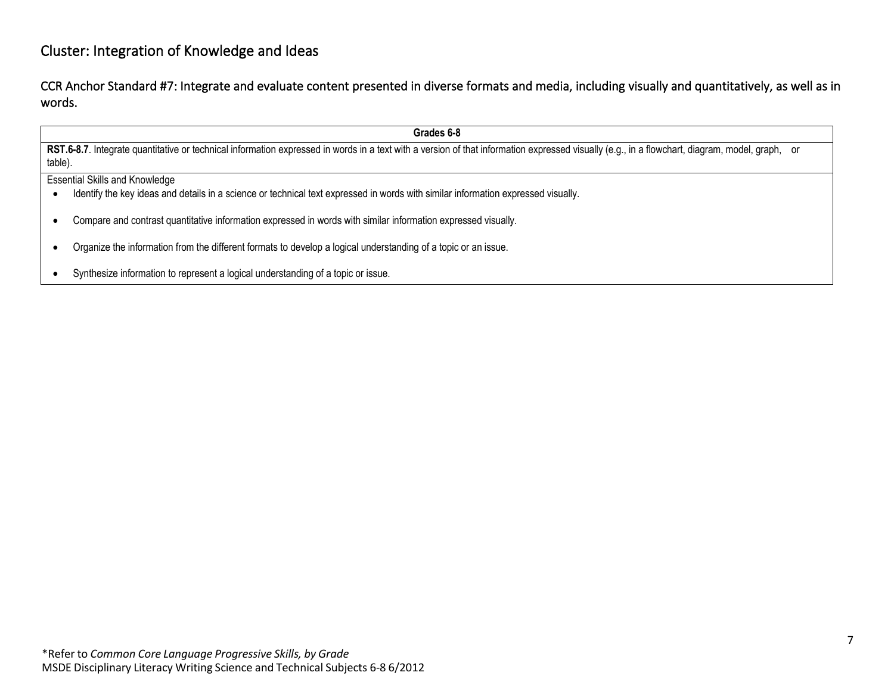### Cluster: Integration of Knowledge and Ideas

CCR Anchor Standard #7: Integrate and evaluate content presented in diverse formats and media, including visually and quantitatively, as well as in words.

**Grades 6-8** RST.6-8.7. Integrate quantitative or technical information expressed in words in a text with a version of that information expressed visually (e.g., in a flowchart, diagram, model, graph, or table). Essential Skills and Knowledge • Identify the key ideas and details in a science or technical text expressed in words with similar information expressed visually. • Compare and contrast quantitative information expressed in words with similar information expressed visually. • Organize the information from the different formats to develop a logical understanding of a topic or an issue. • Synthesize information to represent a logical understanding of a topic or issue.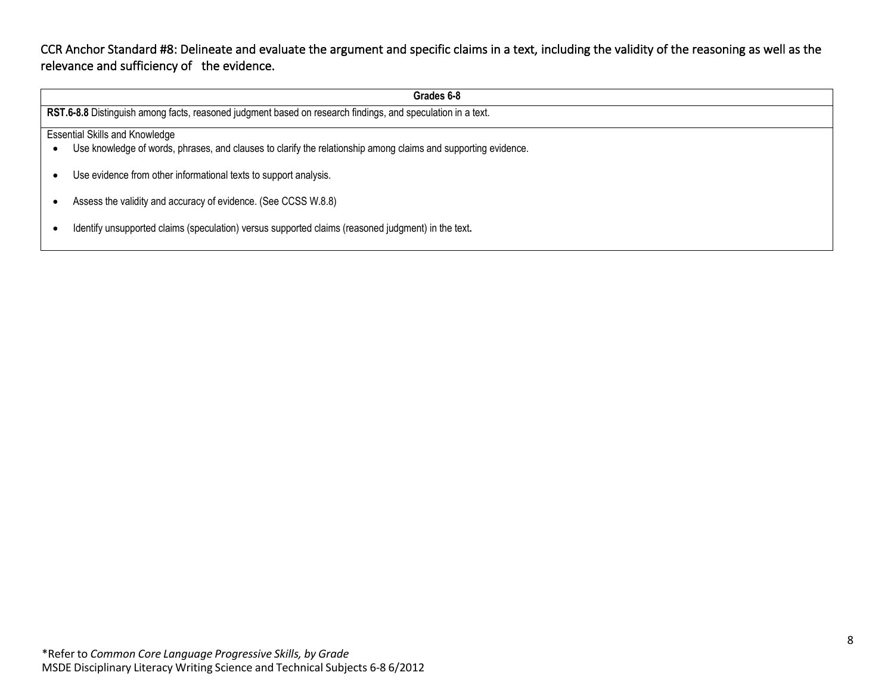CCR Anchor Standard #8: Delineate and evaluate the argument and specific claims in a text, including the validity of the reasoning as well as the relevance and sufficiency of the evidence.

| Grades 6-8                                                                                                     |  |  |
|----------------------------------------------------------------------------------------------------------------|--|--|
| RST.6-8.8 Distinguish among facts, reasoned judgment based on research findings, and speculation in a text.    |  |  |
| <b>Essential Skills and Knowledge</b>                                                                          |  |  |
| Use knowledge of words, phrases, and clauses to clarify the relationship among claims and supporting evidence. |  |  |
|                                                                                                                |  |  |
| Use evidence from other informational texts to support analysis.                                               |  |  |
| Assess the validity and accuracy of evidence. (See CCSS W.8.8)                                                 |  |  |
|                                                                                                                |  |  |
| Identify unsupported claims (speculation) versus supported claims (reasoned judgment) in the text.             |  |  |
|                                                                                                                |  |  |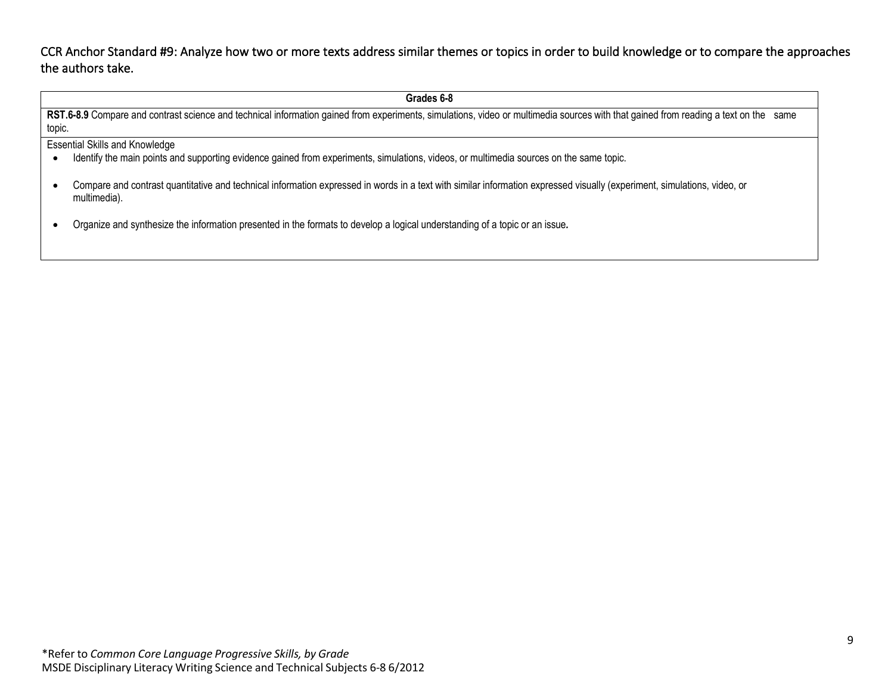CCR Anchor Standard #9: Analyze how two or more texts address similar themes or topics in order to build knowledge or to compare the approaches the authors take.

**Grades 6-8** RST.6-8.9 Compare and contrast science and technical information gained from experiments, simulations, video or multimedia sources with that gained from reading a text on the same topic. Essential Skills and Knowledge • Identify the main points and supporting evidence gained from experiments, simulations, videos, or multimedia sources on the same topic. • Compare and contrast quantitative and technical information expressed in words in a text with similar information expressed visually (experiment, simulations, video, or multimedia). • Organize and synthesize the information presented in the formats to develop a logical understanding of a topic or an issue*.*